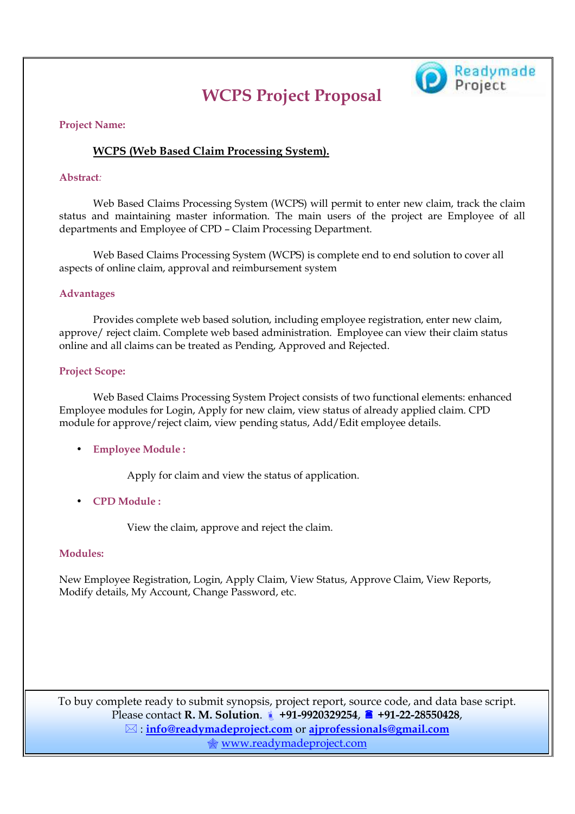# **WCPS Project Proposal**



#### **Project Name:**

### **WCPS (Web Based Claim Processing System).**

#### **Abstract***:*

 Web Based Claims Processing System (WCPS) will permit to enter new claim, track the claim status and maintaining master information. The main users of the project are Employee of all departments and Employee of CPD – Claim Processing Department.

Web Based Claims Processing System (WCPS) is complete end to end solution to cover all aspects of online claim, approval and reimbursement system

#### **Advantages**

 Provides complete web based solution, including employee registration, enter new claim, approve/ reject claim. Complete web based administration. Employee can view their claim status online and all claims can be treated as Pending, Approved and Rejected.

#### **Project Scope:**

Web Based Claims Processing System Project consists of two functional elements: enhanced Employee modules for Login, Apply for new claim, view status of already applied claim. CPD module for approve/reject claim, view pending status, Add/Edit employee details.

#### • **Employee Module :**

Apply for claim and view the status of application.

• **CPD Module :**

View the claim, approve and reject the claim.

#### **Modules:**

New Employee Registration, Login, Apply Claim, View Status, Approve Claim, View Reports, Modify details, My Account, Change Password, etc.

To buy complete ready to submit synopsis, project report, source code, and data base script. **Please contact R. M. Solution. 1** +91-9920329254, <sup>1</sup> +91-22-28550428, : **info@readymadeproject.com** or **ajprofessionals@gmail.com** www.readymadeproject.com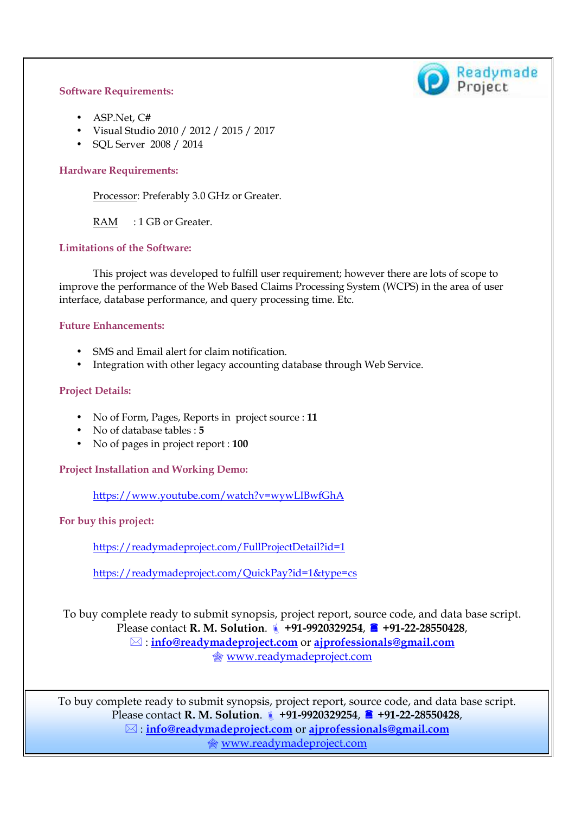#### **Software Requirements:**



- ASP.Net, C#
- Visual Studio 2010 / 2012 / 2015 / 2017
- SQL Server 2008 / 2014

#### **Hardware Requirements:**

Processor: Preferably 3.0 GHz or Greater.

RAM : 1 GB or Greater.

#### **Limitations of the Software:**

 This project was developed to fulfill user requirement; however there are lots of scope to improve the performance of the Web Based Claims Processing System (WCPS) in the area of user interface, database performance, and query processing time. Etc.

#### **Future Enhancements:**

- SMS and Email alert for claim notification.
- Integration with other legacy accounting database through Web Service.

#### **Project Details:**

- No of Form, Pages, Reports in project source : **11**
- No of database tables : **5**
- No of pages in project report : **100**

**Project Installation and Working Demo:** 

https://www.youtube.com/watch?v=wywLIBwfGhA

**For buy this project:** 

https://readymadeproject.com/FullProjectDetail?id=1

https://readymadeproject.com/QuickPay?id=1&type=cs

To buy complete ready to submit synopsis, project report, source code, and data base script. **Please contact R. M. Solution. 1** +91-9920329254, <sup>1</sup> +91-22-28550428, : **info@readymadeproject.com** or **ajprofessionals@gmail.com WWW.readymadeproject.com** 

To buy complete ready to submit synopsis, project report, source code, and data base script. **Please contact R. M. Solution. 1** +91-9920329254, <sup>1</sup> +91-22-28550428, : **info@readymadeproject.com** or **ajprofessionals@gmail.com** www.readymadeproject.com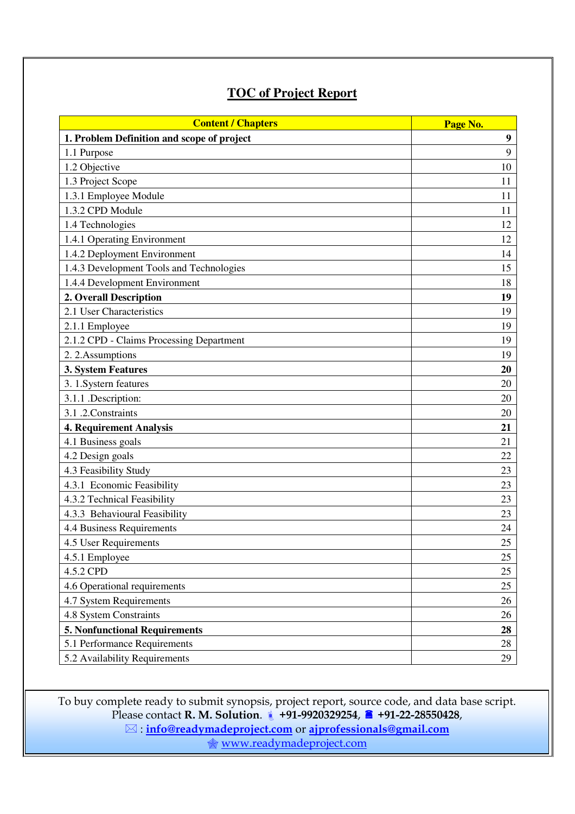## **TOC of Project Report**

| <b>Content / Chapters</b>                  | Page No. |  |
|--------------------------------------------|----------|--|
| 1. Problem Definition and scope of project | 9        |  |
| 1.1 Purpose                                | 9        |  |
| 1.2 Objective                              | 10       |  |
| 1.3 Project Scope                          | 11       |  |
| 1.3.1 Employee Module                      | 11       |  |
| 1.3.2 CPD Module                           | 11       |  |
| 1.4 Technologies                           | 12       |  |
| 1.4.1 Operating Environment                | 12       |  |
| 1.4.2 Deployment Environment               | 14       |  |
| 1.4.3 Development Tools and Technologies   | 15       |  |
| 1.4.4 Development Environment              | 18       |  |
| 2. Overall Description                     | 19       |  |
| 2.1 User Characteristics                   | 19       |  |
| 2.1.1 Employee                             | 19       |  |
| 2.1.2 CPD - Claims Processing Department   | 19       |  |
| 2. 2. Assumptions                          | 19       |  |
| 3. System Features                         | 20       |  |
| 3. 1. Systern features                     | 20       |  |
| 3.1.1 .Description:                        | 20       |  |
| 3.1 .2. Constraints                        | 20       |  |
| <b>4. Requirement Analysis</b>             | 21       |  |
| 4.1 Business goals                         | 21       |  |
| 4.2 Design goals                           | 22       |  |
| 4.3 Feasibility Study                      | 23       |  |
| 4.3.1 Economic Feasibility                 | 23       |  |
| 4.3.2 Technical Feasibility                | 23       |  |
| 4.3.3 Behavioural Feasibility              | 23       |  |
| 4.4 Business Requirements                  | 24       |  |
| 4.5 User Requirements                      | 25       |  |
| 4.5.1 Employee                             | 25       |  |
| 4.5.2 CPD                                  | 25       |  |
| 4.6 Operational requirements               | $25\,$   |  |
| 4.7 System Requirements                    | $26\,$   |  |
| 4.8 System Constraints                     | 26       |  |
| <b>5. Nonfunctional Requirements</b>       | 28       |  |
| 5.1 Performance Requirements               | 28       |  |
| 5.2 Availability Requirements              | 29       |  |

To buy complete ready to submit synopsis, project report, source code, and data base script. **Please contact R. M. Solution. 1** +91-9920329254, <sup>1</sup> +91-22-28550428, : **info@readymadeproject.com** or **ajprofessionals@gmail.com**

www.readymadeproject.com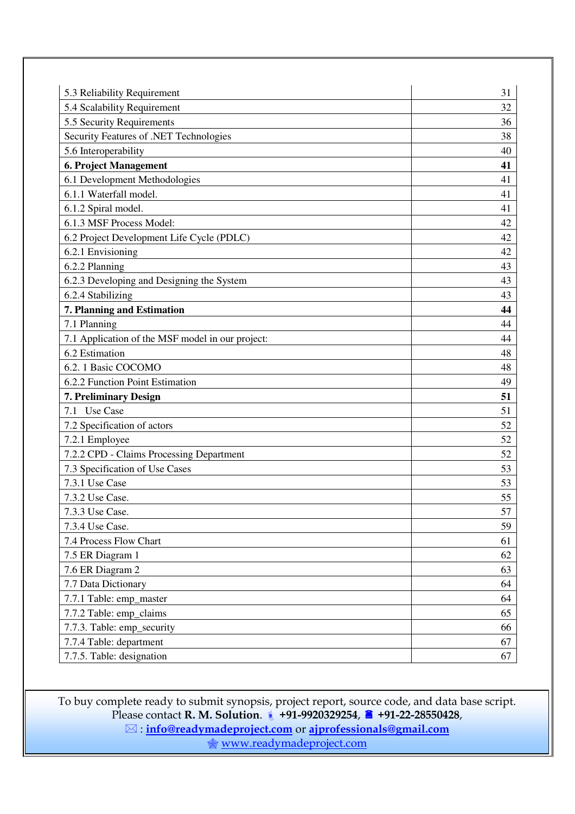| 5.3 Reliability Requirement                      | 31 |
|--------------------------------------------------|----|
| 5.4 Scalability Requirement                      | 32 |
| 5.5 Security Requirements                        | 36 |
| Security Features of .NET Technologies           | 38 |
| 5.6 Interoperability                             | 40 |
| <b>6. Project Management</b>                     | 41 |
| 6.1 Development Methodologies                    | 41 |
| 6.1.1 Waterfall model.                           | 41 |
| 6.1.2 Spiral model.                              | 41 |
| 6.1.3 MSF Process Model:                         | 42 |
| 6.2 Project Development Life Cycle (PDLC)        | 42 |
| 6.2.1 Envisioning                                | 42 |
| 6.2.2 Planning                                   | 43 |
| 6.2.3 Developing and Designing the System        | 43 |
| 6.2.4 Stabilizing                                | 43 |
| 7. Planning and Estimation                       | 44 |
| 7.1 Planning                                     | 44 |
| 7.1 Application of the MSF model in our project: | 44 |
| 6.2 Estimation                                   | 48 |
| 6.2.1 Basic COCOMO                               | 48 |
| 6.2.2 Function Point Estimation                  | 49 |
| 7. Preliminary Design                            | 51 |
| 7.1 Use Case                                     | 51 |
| 7.2 Specification of actors                      | 52 |
| 7.2.1 Employee                                   | 52 |
| 7.2.2 CPD - Claims Processing Department         | 52 |
| 7.3 Specification of Use Cases                   | 53 |
| 7.3.1 Use Case                                   | 53 |
| 7.3.2 Use Case.                                  | 55 |
| 7.3.3 Use Case.                                  | 57 |
| 7.3.4 Use Case.                                  | 59 |
| 7.4 Process Flow Chart                           | 61 |
| 7.5 ER Diagram 1                                 | 62 |
| 7.6 ER Diagram 2                                 | 63 |
| 7.7 Data Dictionary                              | 64 |
| 7.7.1 Table: emp_master                          | 64 |
| 7.7.2 Table: emp_claims                          | 65 |
| 7.7.3. Table: emp_security                       | 66 |
| 7.7.4 Table: department                          | 67 |
| 7.7.5. Table: designation                        | 67 |

To buy complete ready to submit synopsis, project report, source code, and data base script. **Please contact R. M. Solution. 1** +91-9920329254, <sup>1</sup> +91-22-28550428, : **info@readymadeproject.com** or **ajprofessionals@gmail.com**

www.readymadeproject.com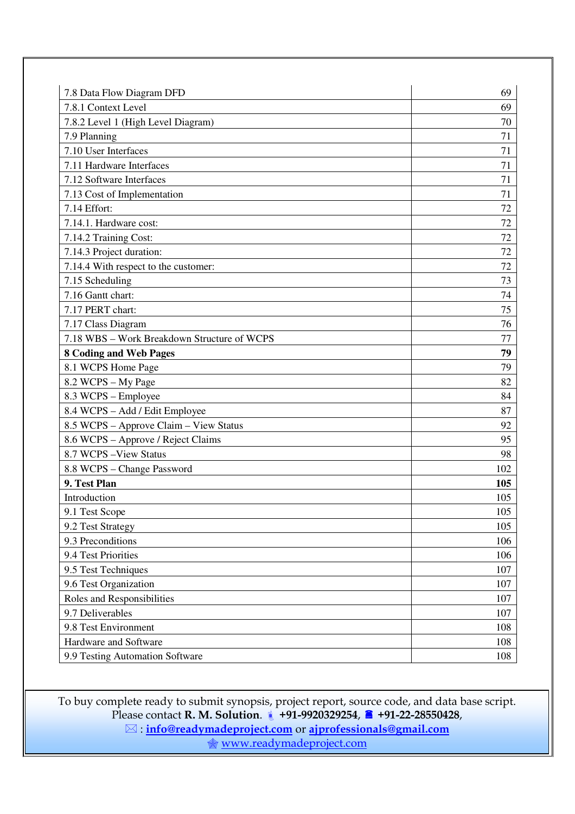| 7.8.1 Context Level<br>69<br>7.8.2 Level 1 (High Level Diagram)<br>70<br>7.9 Planning<br>71<br>7.10 User Interfaces<br>71<br>7.11 Hardware Interfaces<br>71<br>7.12 Software Interfaces<br>71<br>7.13 Cost of Implementation<br>71<br>7.14 Effort:<br>72<br>7.14.1. Hardware cost:<br>72<br>7.14.2 Training Cost:<br>72<br>7.14.3 Project duration:<br>72<br>7.14.4 With respect to the customer:<br>72<br>7.15 Scheduling<br>73<br>7.16 Gantt chart:<br>74<br>7.17 PERT chart:<br>75<br>7.17 Class Diagram<br>76<br>7.18 WBS - Work Breakdown Structure of WCPS<br>77<br>8 Coding and Web Pages<br>79<br>8.1 WCPS Home Page<br>79<br>8.2 WCPS - My Page<br>82<br>8.3 WCPS - Employee<br>84<br>8.4 WCPS - Add / Edit Employee<br>87<br>8.5 WCPS - Approve Claim - View Status<br>92<br>8.6 WCPS - Approve / Reject Claims<br>95<br>8.7 WCPS - View Status<br>98<br>8.8 WCPS - Change Password<br>102<br>9. Test Plan<br>105<br>Introduction<br>105<br>105<br>9.1 Test Scope<br>9.2 Test Strategy<br>105<br>9.3 Preconditions<br>106<br>9.4 Test Priorities<br>106<br>9.5 Test Techniques<br>107<br>9.6 Test Organization<br>107<br>Roles and Responsibilities<br>107<br>9.7 Deliverables<br>107<br>9.8 Test Environment<br>108<br>Hardware and Software<br>108<br>9.9 Testing Automation Software<br>108 | 7.8 Data Flow Diagram DFD | 69 |
|----------------------------------------------------------------------------------------------------------------------------------------------------------------------------------------------------------------------------------------------------------------------------------------------------------------------------------------------------------------------------------------------------------------------------------------------------------------------------------------------------------------------------------------------------------------------------------------------------------------------------------------------------------------------------------------------------------------------------------------------------------------------------------------------------------------------------------------------------------------------------------------------------------------------------------------------------------------------------------------------------------------------------------------------------------------------------------------------------------------------------------------------------------------------------------------------------------------------------------------------------------------------------------------------------------|---------------------------|----|
|                                                                                                                                                                                                                                                                                                                                                                                                                                                                                                                                                                                                                                                                                                                                                                                                                                                                                                                                                                                                                                                                                                                                                                                                                                                                                                          |                           |    |
|                                                                                                                                                                                                                                                                                                                                                                                                                                                                                                                                                                                                                                                                                                                                                                                                                                                                                                                                                                                                                                                                                                                                                                                                                                                                                                          |                           |    |
|                                                                                                                                                                                                                                                                                                                                                                                                                                                                                                                                                                                                                                                                                                                                                                                                                                                                                                                                                                                                                                                                                                                                                                                                                                                                                                          |                           |    |
|                                                                                                                                                                                                                                                                                                                                                                                                                                                                                                                                                                                                                                                                                                                                                                                                                                                                                                                                                                                                                                                                                                                                                                                                                                                                                                          |                           |    |
|                                                                                                                                                                                                                                                                                                                                                                                                                                                                                                                                                                                                                                                                                                                                                                                                                                                                                                                                                                                                                                                                                                                                                                                                                                                                                                          |                           |    |
|                                                                                                                                                                                                                                                                                                                                                                                                                                                                                                                                                                                                                                                                                                                                                                                                                                                                                                                                                                                                                                                                                                                                                                                                                                                                                                          |                           |    |
|                                                                                                                                                                                                                                                                                                                                                                                                                                                                                                                                                                                                                                                                                                                                                                                                                                                                                                                                                                                                                                                                                                                                                                                                                                                                                                          |                           |    |
|                                                                                                                                                                                                                                                                                                                                                                                                                                                                                                                                                                                                                                                                                                                                                                                                                                                                                                                                                                                                                                                                                                                                                                                                                                                                                                          |                           |    |
|                                                                                                                                                                                                                                                                                                                                                                                                                                                                                                                                                                                                                                                                                                                                                                                                                                                                                                                                                                                                                                                                                                                                                                                                                                                                                                          |                           |    |
|                                                                                                                                                                                                                                                                                                                                                                                                                                                                                                                                                                                                                                                                                                                                                                                                                                                                                                                                                                                                                                                                                                                                                                                                                                                                                                          |                           |    |
|                                                                                                                                                                                                                                                                                                                                                                                                                                                                                                                                                                                                                                                                                                                                                                                                                                                                                                                                                                                                                                                                                                                                                                                                                                                                                                          |                           |    |
|                                                                                                                                                                                                                                                                                                                                                                                                                                                                                                                                                                                                                                                                                                                                                                                                                                                                                                                                                                                                                                                                                                                                                                                                                                                                                                          |                           |    |
|                                                                                                                                                                                                                                                                                                                                                                                                                                                                                                                                                                                                                                                                                                                                                                                                                                                                                                                                                                                                                                                                                                                                                                                                                                                                                                          |                           |    |
|                                                                                                                                                                                                                                                                                                                                                                                                                                                                                                                                                                                                                                                                                                                                                                                                                                                                                                                                                                                                                                                                                                                                                                                                                                                                                                          |                           |    |
|                                                                                                                                                                                                                                                                                                                                                                                                                                                                                                                                                                                                                                                                                                                                                                                                                                                                                                                                                                                                                                                                                                                                                                                                                                                                                                          |                           |    |
|                                                                                                                                                                                                                                                                                                                                                                                                                                                                                                                                                                                                                                                                                                                                                                                                                                                                                                                                                                                                                                                                                                                                                                                                                                                                                                          |                           |    |
|                                                                                                                                                                                                                                                                                                                                                                                                                                                                                                                                                                                                                                                                                                                                                                                                                                                                                                                                                                                                                                                                                                                                                                                                                                                                                                          |                           |    |
|                                                                                                                                                                                                                                                                                                                                                                                                                                                                                                                                                                                                                                                                                                                                                                                                                                                                                                                                                                                                                                                                                                                                                                                                                                                                                                          |                           |    |
|                                                                                                                                                                                                                                                                                                                                                                                                                                                                                                                                                                                                                                                                                                                                                                                                                                                                                                                                                                                                                                                                                                                                                                                                                                                                                                          |                           |    |
|                                                                                                                                                                                                                                                                                                                                                                                                                                                                                                                                                                                                                                                                                                                                                                                                                                                                                                                                                                                                                                                                                                                                                                                                                                                                                                          |                           |    |
|                                                                                                                                                                                                                                                                                                                                                                                                                                                                                                                                                                                                                                                                                                                                                                                                                                                                                                                                                                                                                                                                                                                                                                                                                                                                                                          |                           |    |
|                                                                                                                                                                                                                                                                                                                                                                                                                                                                                                                                                                                                                                                                                                                                                                                                                                                                                                                                                                                                                                                                                                                                                                                                                                                                                                          |                           |    |
|                                                                                                                                                                                                                                                                                                                                                                                                                                                                                                                                                                                                                                                                                                                                                                                                                                                                                                                                                                                                                                                                                                                                                                                                                                                                                                          |                           |    |
|                                                                                                                                                                                                                                                                                                                                                                                                                                                                                                                                                                                                                                                                                                                                                                                                                                                                                                                                                                                                                                                                                                                                                                                                                                                                                                          |                           |    |
|                                                                                                                                                                                                                                                                                                                                                                                                                                                                                                                                                                                                                                                                                                                                                                                                                                                                                                                                                                                                                                                                                                                                                                                                                                                                                                          |                           |    |
|                                                                                                                                                                                                                                                                                                                                                                                                                                                                                                                                                                                                                                                                                                                                                                                                                                                                                                                                                                                                                                                                                                                                                                                                                                                                                                          |                           |    |
|                                                                                                                                                                                                                                                                                                                                                                                                                                                                                                                                                                                                                                                                                                                                                                                                                                                                                                                                                                                                                                                                                                                                                                                                                                                                                                          |                           |    |
|                                                                                                                                                                                                                                                                                                                                                                                                                                                                                                                                                                                                                                                                                                                                                                                                                                                                                                                                                                                                                                                                                                                                                                                                                                                                                                          |                           |    |
|                                                                                                                                                                                                                                                                                                                                                                                                                                                                                                                                                                                                                                                                                                                                                                                                                                                                                                                                                                                                                                                                                                                                                                                                                                                                                                          |                           |    |
|                                                                                                                                                                                                                                                                                                                                                                                                                                                                                                                                                                                                                                                                                                                                                                                                                                                                                                                                                                                                                                                                                                                                                                                                                                                                                                          |                           |    |
|                                                                                                                                                                                                                                                                                                                                                                                                                                                                                                                                                                                                                                                                                                                                                                                                                                                                                                                                                                                                                                                                                                                                                                                                                                                                                                          |                           |    |
|                                                                                                                                                                                                                                                                                                                                                                                                                                                                                                                                                                                                                                                                                                                                                                                                                                                                                                                                                                                                                                                                                                                                                                                                                                                                                                          |                           |    |
|                                                                                                                                                                                                                                                                                                                                                                                                                                                                                                                                                                                                                                                                                                                                                                                                                                                                                                                                                                                                                                                                                                                                                                                                                                                                                                          |                           |    |
|                                                                                                                                                                                                                                                                                                                                                                                                                                                                                                                                                                                                                                                                                                                                                                                                                                                                                                                                                                                                                                                                                                                                                                                                                                                                                                          |                           |    |
|                                                                                                                                                                                                                                                                                                                                                                                                                                                                                                                                                                                                                                                                                                                                                                                                                                                                                                                                                                                                                                                                                                                                                                                                                                                                                                          |                           |    |
|                                                                                                                                                                                                                                                                                                                                                                                                                                                                                                                                                                                                                                                                                                                                                                                                                                                                                                                                                                                                                                                                                                                                                                                                                                                                                                          |                           |    |
|                                                                                                                                                                                                                                                                                                                                                                                                                                                                                                                                                                                                                                                                                                                                                                                                                                                                                                                                                                                                                                                                                                                                                                                                                                                                                                          |                           |    |
|                                                                                                                                                                                                                                                                                                                                                                                                                                                                                                                                                                                                                                                                                                                                                                                                                                                                                                                                                                                                                                                                                                                                                                                                                                                                                                          |                           |    |
|                                                                                                                                                                                                                                                                                                                                                                                                                                                                                                                                                                                                                                                                                                                                                                                                                                                                                                                                                                                                                                                                                                                                                                                                                                                                                                          |                           |    |

To buy complete ready to submit synopsis, project report, source code, and data base script. **Please contact R. M. Solution. 1** +91-9920329254, <sup>1</sup> +91-22-28550428, : **info@readymadeproject.com** or **ajprofessionals@gmail.com**

www.readymadeproject.com